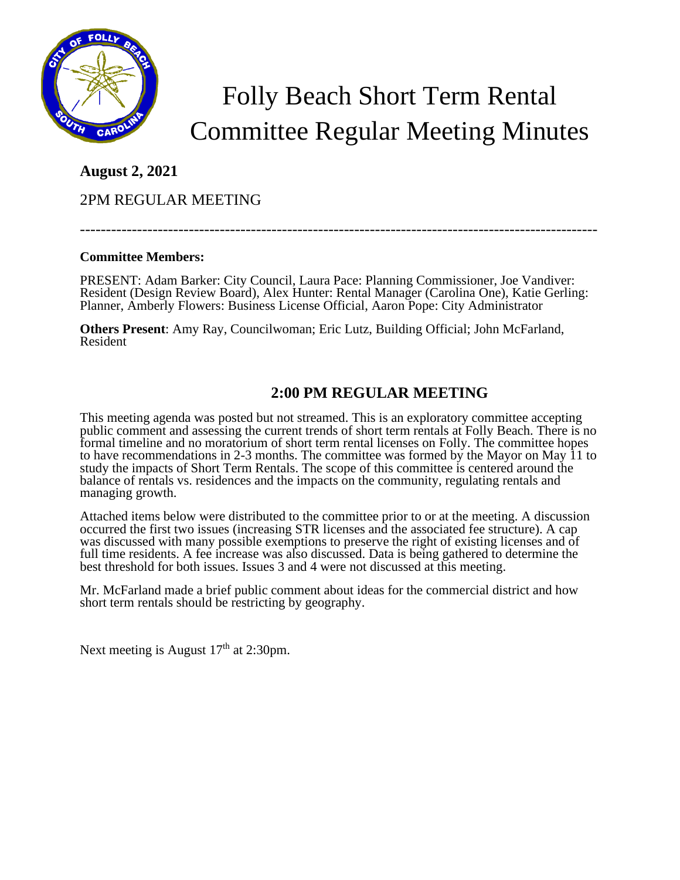

# Folly Beach Short Term Rental Committee Regular Meeting Minutes

### **August 2, 2021**

2PM REGULAR MEETING

----------------------------------------------------------------------------------------------------

### **Committee Members:**

PRESENT: Adam Barker: City Council, Laura Pace: Planning Commissioner, Joe Vandiver: Resident (Design Review Board), Alex Hunter: Rental Manager (Carolina One), Katie Gerling: Planner, Amberly Flowers: Business License Official, Aaron Pope: City Administrator

**Others Present**: Amy Ray, Councilwoman; Eric Lutz, Building Official; John McFarland, Resident

## **2:00 PM REGULAR MEETING**

This meeting agenda was posted but not streamed. This is an exploratory committee accepting public comment and assessing the current trends of short term rentals at Folly Beach. There is no formal timeline and no moratorium of short term rental licenses on Folly. The committee hopes to have recommendations in 2-3 months. The committee was formed by the Mayor on May 11 to study the impacts of Short Term Rentals. The scope of this committee is centered around the balance of rentals vs. residences and the impacts on the community, regulating rentals and managing growth.

Attached items below were distributed to the committee prior to or at the meeting. A discussion occurred the first two issues (increasing STR licenses and the associated fee structure). A cap was discussed with many possible exemptions to preserve the right of existing licenses and of full time residents. A fee increase was also discussed. Data is being gathered to determine the best threshold for both issues. Issues 3 and 4 were not discussed at this meeting.

Mr. McFarland made a brief public comment about ideas for the commercial district and how short term rentals should be restricting by geography.

Next meeting is August  $17<sup>th</sup>$  at 2:30pm.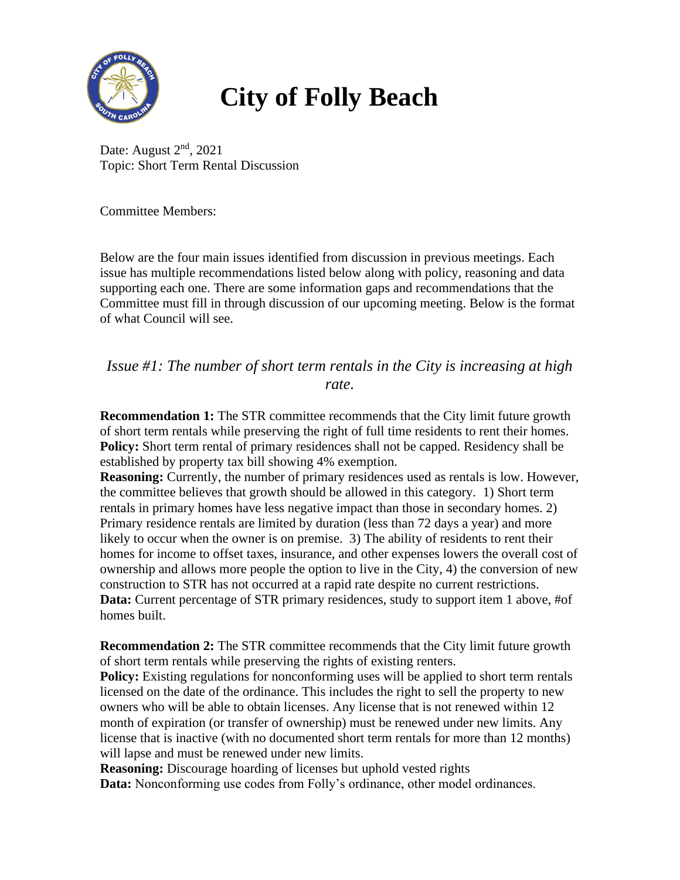

## **City of Folly Beach**

Date: August  $2<sup>nd</sup>$ , 2021 Topic: Short Term Rental Discussion

Committee Members:

Below are the four main issues identified from discussion in previous meetings. Each issue has multiple recommendations listed below along with policy, reasoning and data supporting each one. There are some information gaps and recommendations that the Committee must fill in through discussion of our upcoming meeting. Below is the format of what Council will see.

*Issue #1: The number of short term rentals in the City is increasing at high rate.*

**Recommendation 1:** The STR committee recommends that the City limit future growth of short term rentals while preserving the right of full time residents to rent their homes. **Policy:** Short term rental of primary residences shall not be capped. Residency shall be established by property tax bill showing 4% exemption.

**Reasoning:** Currently, the number of primary residences used as rentals is low. However, the committee believes that growth should be allowed in this category. 1) Short term rentals in primary homes have less negative impact than those in secondary homes. 2) Primary residence rentals are limited by duration (less than 72 days a year) and more likely to occur when the owner is on premise. 3) The ability of residents to rent their homes for income to offset taxes, insurance, and other expenses lowers the overall cost of ownership and allows more people the option to live in the City, 4) the conversion of new construction to STR has not occurred at a rapid rate despite no current restrictions. **Data:** Current percentage of STR primary residences, study to support item 1 above, #of homes built.

**Recommendation 2:** The STR committee recommends that the City limit future growth of short term rentals while preserving the rights of existing renters.

**Policy:** Existing regulations for nonconforming uses will be applied to short term rentals licensed on the date of the ordinance. This includes the right to sell the property to new owners who will be able to obtain licenses. Any license that is not renewed within 12 month of expiration (or transfer of ownership) must be renewed under new limits. Any license that is inactive (with no documented short term rentals for more than 12 months) will lapse and must be renewed under new limits.

**Reasoning:** Discourage hoarding of licenses but uphold vested rights **Data:** Nonconforming use codes from Folly's ordinance, other model ordinances.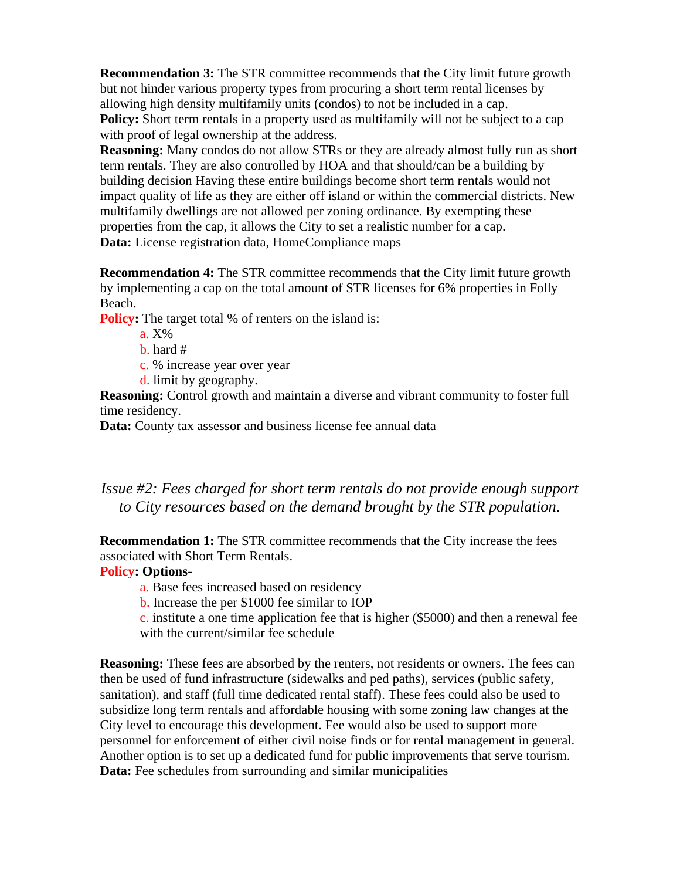**Recommendation 3:** The STR committee recommends that the City limit future growth but not hinder various property types from procuring a short term rental licenses by allowing high density multifamily units (condos) to not be included in a cap. **Policy:** Short term rentals in a property used as multifamily will not be subject to a cap with proof of legal ownership at the address.

**Reasoning:** Many condos do not allow STRs or they are already almost fully run as short term rentals. They are also controlled by HOA and that should/can be a building by building decision Having these entire buildings become short term rentals would not impact quality of life as they are either off island or within the commercial districts. New multifamily dwellings are not allowed per zoning ordinance. By exempting these properties from the cap, it allows the City to set a realistic number for a cap. **Data:** License registration data, HomeCompliance maps

**Recommendation 4:** The STR committee recommends that the City limit future growth by implementing a cap on the total amount of STR licenses for 6% properties in Folly Beach.

**Policy:** The target total % of renters on the island is:

- a. X%
- b. hard #
- c. % increase year over year
- d. limit by geography.

**Reasoning:** Control growth and maintain a diverse and vibrant community to foster full time residency.

**Data:** County tax assessor and business license fee annual data

### *Issue #2: Fees charged for short term rentals do not provide enough support to City resources based on the demand brought by the STR population.*

**Recommendation 1:** The STR committee recommends that the City increase the fees associated with Short Term Rentals.

### **Policy: Options**-

- a. Base fees increased based on residency
- b. Increase the per \$1000 fee similar to IOP
- c. institute a one time application fee that is higher (\$5000) and then a renewal fee with the current/similar fee schedule

**Reasoning:** These fees are absorbed by the renters, not residents or owners. The fees can then be used of fund infrastructure (sidewalks and ped paths), services (public safety, sanitation), and staff (full time dedicated rental staff). These fees could also be used to subsidize long term rentals and affordable housing with some zoning law changes at the City level to encourage this development. Fee would also be used to support more personnel for enforcement of either civil noise finds or for rental management in general. Another option is to set up a dedicated fund for public improvements that serve tourism. **Data:** Fee schedules from surrounding and similar municipalities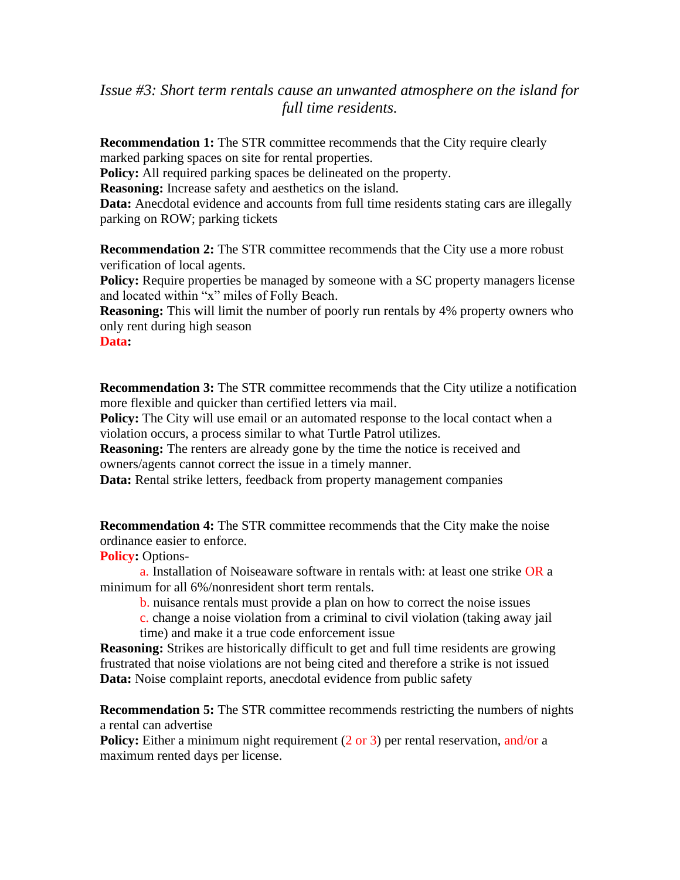### *Issue #3: Short term rentals cause an unwanted atmosphere on the island for full time residents.*

**Recommendation 1:** The STR committee recommends that the City require clearly marked parking spaces on site for rental properties.

**Policy:** All required parking spaces be delineated on the property.

**Reasoning:** Increase safety and aesthetics on the island.

Data: Anecdotal evidence and accounts from full time residents stating cars are illegally parking on ROW; parking tickets

**Recommendation 2:** The STR committee recommends that the City use a more robust verification of local agents.

Policy: Require properties be managed by someone with a SC property managers license and located within "x" miles of Folly Beach.

**Reasoning:** This will limit the number of poorly run rentals by 4% property owners who only rent during high season

**Data:** 

**Recommendation 3:** The STR committee recommends that the City utilize a notification more flexible and quicker than certified letters via mail.

**Policy:** The City will use email or an automated response to the local contact when a violation occurs, a process similar to what Turtle Patrol utilizes.

**Reasoning:** The renters are already gone by the time the notice is received and owners/agents cannot correct the issue in a timely manner.

**Data:** Rental strike letters, feedback from property management companies

**Recommendation 4:** The STR committee recommends that the City make the noise ordinance easier to enforce.

**Policy:** Options-

a. Installation of Noiseaware software in rentals with: at least one strike OR a minimum for all 6%/nonresident short term rentals.

b. nuisance rentals must provide a plan on how to correct the noise issues

c. change a noise violation from a criminal to civil violation (taking away jail time) and make it a true code enforcement issue

**Reasoning:** Strikes are historically difficult to get and full time residents are growing frustrated that noise violations are not being cited and therefore a strike is not issued Data: Noise complaint reports, anecdotal evidence from public safety

**Recommendation 5:** The STR committee recommends restricting the numbers of nights a rental can advertise

**Policy:** Either a minimum night requirement (2 or 3) per rental reservation, and/or a maximum rented days per license.